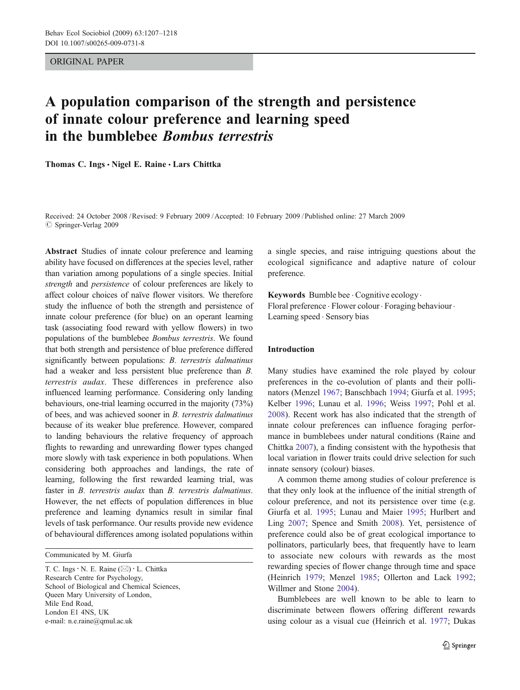# ORIGINAL PAPER

# A population comparison of the strength and persistence of innate colour preference and learning speed in the bumblebee Bombus terrestris

Thomas C. Ings · Nigel E. Raine · Lars Chittka

Received: 24 October 2008 /Revised: 9 February 2009 /Accepted: 10 February 2009 / Published online: 27 March 2009  $\circ$  Springer-Verlag 2009

Abstract Studies of innate colour preference and learning ability have focused on differences at the species level, rather than variation among populations of a single species. Initial strength and persistence of colour preferences are likely to affect colour choices of naïve flower visitors. We therefore study the influence of both the strength and persistence of innate colour preference (for blue) on an operant learning task (associating food reward with yellow flowers) in two populations of the bumblebee Bombus terrestris. We found that both strength and persistence of blue preference differed significantly between populations: B. terrestris dalmatinus had a weaker and less persistent blue preference than B. terrestris audax. These differences in preference also influenced learning performance. Considering only landing behaviours, one-trial learning occurred in the majority (73%) of bees, and was achieved sooner in B. terrestris dalmatinus because of its weaker blue preference. However, compared to landing behaviours the relative frequency of approach flights to rewarding and unrewarding flower types changed more slowly with task experience in both populations. When considering both approaches and landings, the rate of learning, following the first rewarded learning trial, was faster in B. terrestris audax than B. terrestris dalmatinus. However, the net effects of population differences in blue preference and learning dynamics result in similar final levels of task performance. Our results provide new evidence of behavioural differences among isolated populations within

Communicated by M. Giurfa

T. C. Ings: N. E. Raine (*\**) : L. Chittka Research Centre for Psychology, School of Biological and Chemical Sciences, Queen Mary University of London, Mile End Road, London E1 4NS, UK e-mail: n.e.raine@qmul.ac.uk

a single species, and raise intriguing questions about the ecological significance and adaptive nature of colour preference.

Keywords Bumble bee . Cognitive ecology. Floral preference . Flower colour. Foraging behaviour. Learning speed . Sensory bias

## Introduction

Many studies have examined the role played by colour preferences in the co-evolution of plants and their pollinators (Menzel [1967](#page-10-0); Banschbach [1994;](#page-10-0) Giurfa et al. [1995](#page-10-0); Kelber [1996;](#page-10-0) Lunau et al. [1996;](#page-10-0) Weiss [1997](#page-11-0); Pohl et al. [2008\)](#page-11-0). Recent work has also indicated that the strength of innate colour preferences can influence foraging performance in bumblebees under natural conditions (Raine and Chittka [2007\)](#page-11-0), a finding consistent with the hypothesis that local variation in flower traits could drive selection for such innate sensory (colour) biases.

A common theme among studies of colour preference is that they only look at the influence of the initial strength of colour preference, and not its persistence over time (e.g. Giurfa et al. [1995](#page-10-0); Lunau and Maier [1995;](#page-10-0) Hurlbert and Ling [2007](#page-10-0); Spence and Smith [2008\)](#page-11-0). Yet, persistence of preference could also be of great ecological importance to pollinators, particularly bees, that frequently have to learn to associate new colours with rewards as the most rewarding species of flower change through time and space (Heinrich [1979;](#page-10-0) Menzel [1985](#page-10-0); Ollerton and Lack [1992](#page-11-0); Willmer and Stone [2004\)](#page-11-0).

Bumblebees are well known to be able to learn to discriminate between flowers offering different rewards using colour as a visual cue (Heinrich et al. [1977;](#page-10-0) Dukas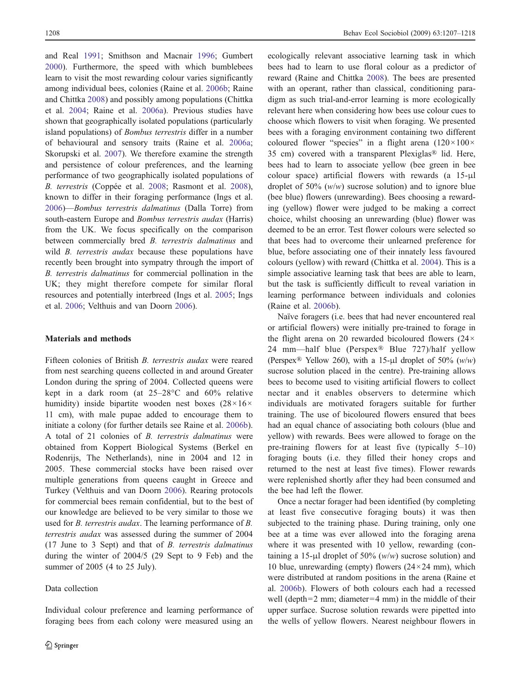and Real [1991;](#page-10-0) Smithson and Macnair [1996](#page-11-0); Gumbert [2000\)](#page-10-0). Furthermore, the speed with which bumblebees learn to visit the most rewarding colour varies significantly among individual bees, colonies (Raine et al. [2006b;](#page-11-0) Raine and Chittka [2008](#page-11-0)) and possibly among populations (Chittka et al. [2004](#page-10-0); Raine et al. [2006a](#page-11-0)). Previous studies have shown that geographically isolated populations (particularly island populations) of Bombus terrestris differ in a number of behavioural and sensory traits (Raine et al. [2006a](#page-11-0); Skorupski et al. [2007\)](#page-11-0). We therefore examine the strength and persistence of colour preferences, and the learning performance of two geographically isolated populations of B. terrestris (Coppée et al. [2008](#page-10-0); Rasmont et al. [2008](#page-11-0)), known to differ in their foraging performance (Ings et al. [2006\)](#page-10-0)—Bombus terrestris dalmatinus (Dalla Torre) from south-eastern Europe and Bombus terrestris audax (Harris) from the UK. We focus specifically on the comparison between commercially bred B. terrestris dalmatinus and wild *B. terrestris audax* because these populations have recently been brought into sympatry through the import of B. terrestris dalmatinus for commercial pollination in the UK; they might therefore compete for similar floral resources and potentially interbreed (Ings et al. [2005;](#page-10-0) Ings et al. [2006;](#page-10-0) Velthuis and van Doorn [2006](#page-11-0)).

## Materials and methods

Fifteen colonies of British B. terrestris audax were reared from nest searching queens collected in and around Greater London during the spring of 2004. Collected queens were kept in a dark room (at 25–28°C and 60% relative humidity) inside bipartite wooden nest boxes  $(28 \times 16 \times$ 11 cm), with male pupae added to encourage them to initiate a colony (for further details see Raine et al. [2006b](#page-11-0)). A total of 21 colonies of B. terrestris dalmatinus were obtained from Koppert Biological Systems (Berkel en Rodenrijs, The Netherlands), nine in 2004 and 12 in 2005. These commercial stocks have been raised over multiple generations from queens caught in Greece and Turkey (Velthuis and van Doorn [2006](#page-11-0)). Rearing protocols for commercial bees remain confidential, but to the best of our knowledge are believed to be very similar to those we used for B. terrestris audax. The learning performance of B. terrestris audax was assessed during the summer of 2004 (17 June to 3 Sept) and that of B. terrestris dalmatinus during the winter of 2004/5 (29 Sept to 9 Feb) and the summer of 2005 (4 to 25 July).

## Data collection

Individual colour preference and learning performance of foraging bees from each colony were measured using an

ecologically relevant associative learning task in which bees had to learn to use floral colour as a predictor of reward (Raine and Chittka [2008](#page-11-0)). The bees are presented with an operant, rather than classical, conditioning paradigm as such trial-and-error learning is more ecologically relevant here when considering how bees use colour cues to choose which flowers to visit when foraging. We presented bees with a foraging environment containing two different coloured flower "species" in a flight arena  $(120 \times 100 \times$ 35 cm) covered with a transparent Plexiglas® lid. Here, bees had to learn to associate yellow (bee green in bee colour space) artificial flowers with rewards (a 15-μl droplet of 50%  $(w/w)$  sucrose solution) and to ignore blue (bee blue) flowers (unrewarding). Bees choosing a rewarding (yellow) flower were judged to be making a correct choice, whilst choosing an unrewarding (blue) flower was deemed to be an error. Test flower colours were selected so that bees had to overcome their unlearned preference for blue, before associating one of their innately less favoured colours (yellow) with reward (Chittka et al. [2004](#page-10-0)). This is a simple associative learning task that bees are able to learn, but the task is sufficiently difficult to reveal variation in learning performance between individuals and colonies (Raine et al. [2006b\)](#page-11-0).

Naïve foragers (i.e. bees that had never encountered real or artificial flowers) were initially pre-trained to forage in the flight arena on 20 rewarded bicoloured flowers  $(24 \times$ 24 mm—half blue (Perspex® Blue 727)/half yellow (Perspex® Yellow 260), with a 15-μl droplet of 50%  $(w/w)$ sucrose solution placed in the centre). Pre-training allows bees to become used to visiting artificial flowers to collect nectar and it enables observers to determine which individuals are motivated foragers suitable for further training. The use of bicoloured flowers ensured that bees had an equal chance of associating both colours (blue and yellow) with rewards. Bees were allowed to forage on the pre-training flowers for at least five (typically 5–10) foraging bouts (i.e. they filled their honey crops and returned to the nest at least five times). Flower rewards were replenished shortly after they had been consumed and the bee had left the flower.

Once a nectar forager had been identified (by completing at least five consecutive foraging bouts) it was then subjected to the training phase. During training, only one bee at a time was ever allowed into the foraging arena where it was presented with 10 yellow, rewarding (containing a 15-μl droplet of 50%  $(w/w)$  sucrose solution) and 10 blue, unrewarding (empty) flowers  $(24 \times 24 \text{ mm})$ , which were distributed at random positions in the arena (Raine et al. [2006b\)](#page-11-0). Flowers of both colours each had a recessed well (depth=2 mm; diameter=4 mm) in the middle of their upper surface. Sucrose solution rewards were pipetted into the wells of yellow flowers. Nearest neighbour flowers in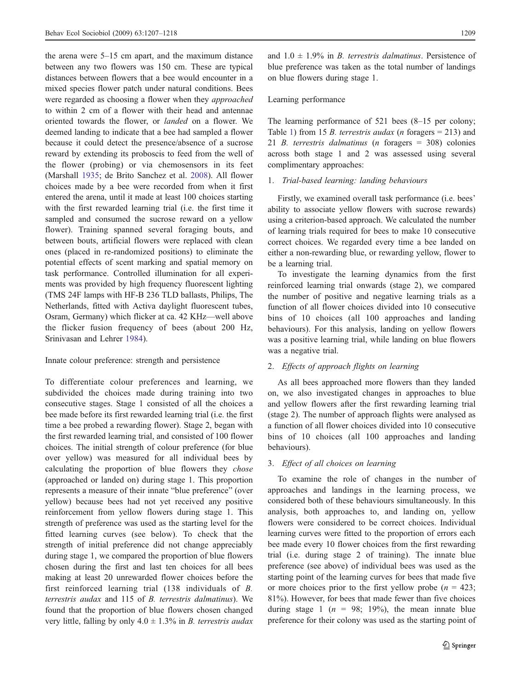the arena were 5–15 cm apart, and the maximum distance between any two flowers was 150 cm. These are typical distances between flowers that a bee would encounter in a mixed species flower patch under natural conditions. Bees were regarded as choosing a flower when they approached to within 2 cm of a flower with their head and antennae oriented towards the flower, or landed on a flower. We deemed landing to indicate that a bee had sampled a flower because it could detect the presence/absence of a sucrose reward by extending its proboscis to feed from the well of the flower (probing) or via chemosensors in its feet (Marshall [1935;](#page-10-0) de Brito Sanchez et al. [2008](#page-10-0)). All flower choices made by a bee were recorded from when it first entered the arena, until it made at least 100 choices starting with the first rewarded learning trial (i.e. the first time it sampled and consumed the sucrose reward on a yellow flower). Training spanned several foraging bouts, and between bouts, artificial flowers were replaced with clean ones (placed in re-randomized positions) to eliminate the potential effects of scent marking and spatial memory on task performance. Controlled illumination for all experiments was provided by high frequency fluorescent lighting (TMS 24F lamps with HF-B 236 TLD ballasts, Philips, The Netherlands, fitted with Activa daylight fluorescent tubes, Osram, Germany) which flicker at ca. 42 KHz—well above the flicker fusion frequency of bees (about 200 Hz, Srinivasan and Lehrer [1984\)](#page-11-0).

## Innate colour preference: strength and persistence

To differentiate colour preferences and learning, we subdivided the choices made during training into two consecutive stages. Stage 1 consisted of all the choices a bee made before its first rewarded learning trial (i.e. the first time a bee probed a rewarding flower). Stage 2, began with the first rewarded learning trial, and consisted of 100 flower choices. The initial strength of colour preference (for blue over yellow) was measured for all individual bees by calculating the proportion of blue flowers they chose (approached or landed on) during stage 1. This proportion represents a measure of their innate "blue preference" (over yellow) because bees had not yet received any positive reinforcement from yellow flowers during stage 1. This strength of preference was used as the starting level for the fitted learning curves (see below). To check that the strength of initial preference did not change appreciably during stage 1, we compared the proportion of blue flowers chosen during the first and last ten choices for all bees making at least 20 unrewarded flower choices before the first reinforced learning trial (138 individuals of B. terrestris audax and 115 of B. terrestris dalmatinus). We found that the proportion of blue flowers chosen changed very little, falling by only  $4.0 \pm 1.3\%$  in B. terrestris audax

and  $1.0 \pm 1.9\%$  in *B. terrestris dalmatinus*. Persistence of blue preference was taken as the total number of landings on blue flowers during stage 1.

## Learning performance

The learning performance of 521 bees (8–15 per colony; Table [1\)](#page-3-0) from 15 *B. terrestris audax* (*n* foragers = 213) and 21 B. terrestris dalmatinus (n foragers = 308) colonies across both stage 1 and 2 was assessed using several complimentary approaches:

# 1. Trial-based learning: landing behaviours

Firstly, we examined overall task performance (i.e. bees' ability to associate yellow flowers with sucrose rewards) using a criterion-based approach. We calculated the number of learning trials required for bees to make 10 consecutive correct choices. We regarded every time a bee landed on either a non-rewarding blue, or rewarding yellow, flower to be a learning trial.

To investigate the learning dynamics from the first reinforced learning trial onwards (stage 2), we compared the number of positive and negative learning trials as a function of all flower choices divided into 10 consecutive bins of 10 choices (all 100 approaches and landing behaviours). For this analysis, landing on yellow flowers was a positive learning trial, while landing on blue flowers was a negative trial.

# 2. Effects of approach flights on learning

As all bees approached more flowers than they landed on, we also investigated changes in approaches to blue and yellow flowers after the first rewarding learning trial (stage 2). The number of approach flights were analysed as a function of all flower choices divided into 10 consecutive bins of 10 choices (all 100 approaches and landing behaviours).

#### 3. Effect of all choices on learning

To examine the role of changes in the number of approaches and landings in the learning process, we considered both of these behaviours simultaneously. In this analysis, both approaches to, and landing on, yellow flowers were considered to be correct choices. Individual learning curves were fitted to the proportion of errors each bee made every 10 flower choices from the first rewarding trial (i.e. during stage 2 of training). The innate blue preference (see above) of individual bees was used as the starting point of the learning curves for bees that made five or more choices prior to the first yellow probe  $(n = 423)$ ; 81%). However, for bees that made fewer than five choices during stage 1 ( $n = 98$ ; 19%), the mean innate blue preference for their colony was used as the starting point of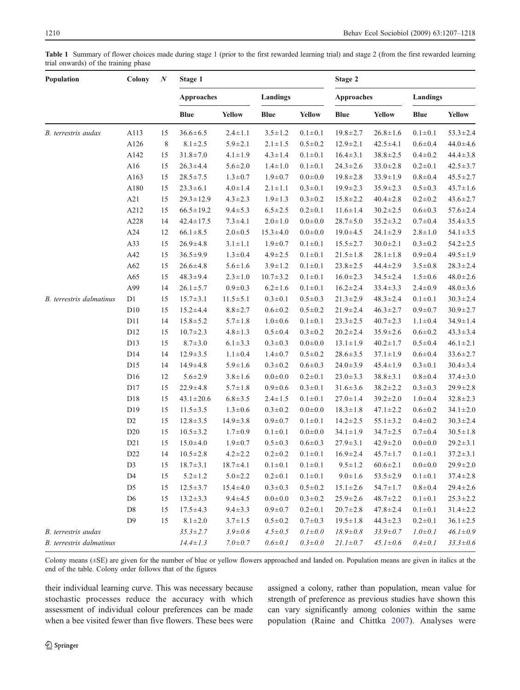<span id="page-3-0"></span>Table 1 Summary of flower choices made during stage 1 (prior to the first rewarded learning trial) and stage 2 (from the first rewarded learning trial onwards) of the training phase

| Population               | Colony          | $\boldsymbol{N}$ | Stage 1           |                |                |                 | Stage 2           |                |                 |                |
|--------------------------|-----------------|------------------|-------------------|----------------|----------------|-----------------|-------------------|----------------|-----------------|----------------|
|                          |                 |                  | <b>Approaches</b> |                | Landings       |                 | <b>Approaches</b> |                | Landings        |                |
|                          |                 |                  | <b>Blue</b>       | <b>Yellow</b>  | Blue           | <b>Yellow</b>   | Blue              | Yellow         | <b>Blue</b>     | Yellow         |
| B. terrestris audax      | A113            | 15               | $36.6 \pm 6.5$    | $2.4 \pm 1.1$  | $3.5 \pm 1.2$  | $0.1 \pm 0.1$   | $19.8 \pm 2.7$    | $26.8 \pm 1.6$ | $0.1 \pm 0.1$   | $53.3 \pm 2.4$ |
|                          | A126            | 8                | $8.1 \pm 2.5$     | $5.9 \pm 2.1$  | $2.1 \pm 1.5$  | $0.5\!\pm\!0.2$ | $12.9 \pm 2.1$    | $42.5 \pm 4.1$ | $0.6 + 0.4$     | $44.0 \pm 4.6$ |
|                          | A142            | 15               | $31.8 \pm 7.0$    | $4.1 \pm 1.9$  | $4.3 \pm 1.4$  | $0.1 \pm 0.1$   | $16.4 \pm 3.1$    | $38.8 \pm 2.5$ | $0.4 + 0.2$     | $44.4 \pm 3.8$ |
|                          | A16             | 15               | $26.3 \pm 4.4$    | $5.6 \pm 2.0$  | $1.4 \pm 1.0$  | $0.1 \pm 0.1$   | $24.3 \pm 2.6$    | $33.0 \pm 2.8$ | $0.2 \pm 0.1$   | $42.5 \pm 3.7$ |
|                          | A163            | 15               | $28.5 \pm 7.5$    | $1.3 \pm 0.7$  | $1.9 + 0.7$    | $0.0 + 0.0$     | $19.8 \pm 2.8$    | $33.9 \pm 1.9$ | $0.8 + 0.4$     | $45.5 \pm 2.7$ |
|                          | $\rm A180$      | 15               | $23.3 \pm 6.1$    | $4.0 \pm 1.4$  | $2.1 \pm 1.1$  | $0.3 \pm 0.1$   | $19.9 \pm 2.3$    | $35.9 \pm 2.3$ | $0.5 \pm 0.3$   | $43.7 \pm 1.6$ |
|                          | A21             | 15               | $29.3 \pm 12.9$   | $4.3 \pm 2.3$  | $1.9 \pm 1.3$  | $0.3 \pm 0.2$   | $15.8 \pm 2.2$    | $40.4 \pm 2.8$ | $0.2 \pm 0.2$   | $43.6 \pm 2.7$ |
|                          | A212            | 15               | $66.5 \pm 19.2$   | $9.4 \pm 5.3$  | $6.5 \pm 2.5$  | $0.2 \pm 0.1$   | $11.6 \pm 1.4$    | $30.2 \pm 2.5$ | $0.6 + 0.3$     | $57.6 \pm 2.4$ |
|                          | A228            | 14               | $42.4 \pm 17.5$   | $7.3 \pm 4.1$  | $2.0 \pm 1.0$  | $0.0\!\pm\!0.0$ | $28.7 \pm 5.0$    | $35.2 \pm 3.2$ | $0.7 + 0.4$     | $35.4 \pm 3.5$ |
|                          | A24             | 12               | $66.1 \pm 8.5$    | $2.0 + 0.5$    | $15.3 \pm 4.0$ | $0.0 + 0.0$     | $19.0 \pm 4.5$    | $24.1 \pm 2.9$ | $2.8 \pm 1.0$   | $54.1 \pm 3.5$ |
|                          | A33             | 15               | $26.9 + 4.8$      | $3.1 \pm 1.1$  | $1.9 + 0.7$    | $0.1 \pm 0.1$   | $15.5 \pm 2.7$    | $30.0 \pm 2.1$ | $0.3 \pm 0.2$   | $54.2 \pm 2.5$ |
|                          | A42             | 15               | $36.5 \pm 9.9$    | $1.3 \pm 0.4$  | $4.9 \pm 2.5$  | $0.1 \pm 0.1$   | $21.5 \pm 1.8$    | $28.1 \pm 1.8$ | $0.9 + 0.4$     | $49.5 \pm 1.9$ |
|                          | A62             | 15               | $26.6 \pm 4.8$    | $5.6 \pm 1.6$  | $3.9 \pm 1.2$  | $0.1 \pm 0.1$   | $23.8 \pm 2.5$    | $44.4 \pm 2.9$ | $3.5 \pm 0.8$   | $28.3 \pm 2.4$ |
|                          | A65             | 15               | $48.3 \pm 9.4$    | $2.3 \pm 1.0$  | $10.7 \pm 3.2$ | $0.1 \pm 0.1$   | $16.0 \pm 2.3$    | $34.5 \pm 2.4$ | $1.5 \pm 0.6$   | $48.0 \pm 2.6$ |
|                          | A99             | 14               | $26.1 \pm 5.7$    | $0.9 + 0.3$    | $6.2 \pm 1.6$  | $0.1 \pm 0.1$   | $16.2 \pm 2.4$    | $33.4 \pm 3.3$ | $2.4 \pm 0.9$   | $48.0 \pm 3.6$ |
| B. terrestris dalmatinus | D1              | 15               | $15.7 \pm 3.1$    | $11.5 \pm 5.1$ | $0.3 \pm 0.1$  | $0.5 \pm 0.3$   | $21.3 \pm 2.9$    | $48.3 \pm 2.4$ | $0.1 \pm 0.1$   | $30.3 \pm 2.4$ |
|                          | D10             | 15               | $15.2 \pm 4.4$    | $8.8 + 2.7$    | $0.6 + 0.2$    | $0.5 \pm 0.2$   | $21.9 \pm 2.4$    | $46.3 \pm 2.7$ | $0.9 + 0.7$     | $30.9 \pm 2.7$ |
|                          | D11             | 14               | $15.8 \pm 5.2$    | $5.7 \pm 1.8$  | $1.0 + 0.6$    | $0.1 \pm 0.1$   | $23.3 \pm 2.5$    | $40.7 \pm 2.3$ | $1.1 \pm 0.4$   | $34.9 \pm 1.4$ |
|                          | D12             | 15               | $10.7 \pm 2.3$    | $4.8 \pm 1.3$  | $0.5 \pm 0.4$  | $0.3 \pm 0.2$   | $20.2 \pm 2.4$    | $35.9 \pm 2.6$ | $0.6 + 0.2$     | $43.3 \pm 3.4$ |
|                          | D13             | 15               | $8.7 \pm 3.0$     | $6.1 \pm 3.3$  | $0.3 \pm 0.3$  | $0.0 + 0.0$     | $13.1 \pm 1.9$    | $40.2 \pm 1.7$ | $0.5 \pm 0.4$   | $46.1 \pm 2.1$ |
|                          | D14             | 14               | $12.9 \pm 3.5$    | $1.1 \pm 0.4$  | $1.4 \pm 0.7$  | $0.5 \pm 0.2$   | $28.6 \pm 3.5$    | $37.1 \pm 1.9$ | $0.6 + 0.4$     | $33.6 \pm 2.7$ |
|                          | D15             | 14               | $14.9 \pm 4.8$    | $5.9 \pm 1.6$  | $0.3 \pm 0.2$  | $0.6 + 0.3$     | $24.0 \pm 3.9$    | $45.4 \pm 1.9$ | $0.3 \pm 0.1$   | $30.4 \pm 3.4$ |
|                          | D16             | 12               | $5.6 \pm 2.9$     | $3.8 \pm 1.6$  | $0.0 + 0.0$    | $0.2 \pm 0.1$   | $23.0 \pm 3.3$    | $38.8 \pm 3.1$ | $0.8\!\pm\!0.4$ | $37.4 \pm 3.0$ |
|                          | D17             | 15               | $22.9 \pm 4.8$    | $5.7 \pm 1.8$  | $0.9 + 0.6$    | $0.3 \pm 0.1$   | $31.6 \pm 3.6$    | $38.2 \pm 2.2$ | $0.3 \pm 0.3$   | $29.9 \pm 2.8$ |
|                          | D18             | 15               | $43.1 \pm 20.6$   | $6.8 + 3.5$    | $2.4 \pm 1.5$  | $0.1 \pm 0.1$   | $27.0 \pm 1.4$    | $39.2 \pm 2.0$ | $1.0 \pm 0.4$   | $32.8 \pm 2.3$ |
|                          | D19             | 15               | $11.5 \pm 3.5$    | $1.3 \pm 0.6$  | $0.3 \pm 0.2$  | $0.0 + 0.0$     | $18.3 \pm 1.8$    | $47.1 \pm 2.2$ | $0.6 + 0.2$     | $34.1 \pm 2.0$ |
|                          | $\rm{D}2$       | 15               | $12.8 \pm 3.5$    | $14.9 \pm 3.8$ | $0.9 + 0.7$    | $0.1 \pm 0.1$   | $14.2 \pm 2.5$    | $55.1 \pm 3.2$ | $0.4 + 0.2$     | $30.3 \pm 2.4$ |
|                          | D20             | 15               | $10.5 \pm 3.2$    | $1.7 \pm 0.9$  | $0.1 \pm 0.1$  | $0.0 + 0.0$     | $34.1 \pm 1.9$    | $34.7 \pm 2.5$ | $0.7 + 0.4$     | $30.5 \pm 1.8$ |
|                          | D21             | 15               | $15.0 \pm 4.0$    | $1.9 + 0.7$    | $0.5 \pm 0.3$  | $0.6 + 0.3$     | $27.9 \pm 3.1$    | $42.9 \pm 2.0$ | $0.0\!\pm\!0.0$ | $29.2 \pm 3.1$ |
|                          | D <sub>22</sub> | 14               | $10.5 \pm 2.8$    | $4.2 \pm 2.2$  | $0.2 + 0.2$    | $0.1 \pm 0.1$   | $16.9 \pm 2.4$    | $45.7 \pm 1.7$ | $0.1 \pm 0.1$   | $37.2 \pm 3.1$ |
|                          | D <sub>3</sub>  | 15               | $18.7 \pm 3.1$    | $18.7 \pm 4.1$ | $0.1 \pm 0.1$  | $0.1 \pm 0.1$   | $9.5 \pm 1.2$     | $60.6 \pm 2.1$ | $0.0 + 0.0$     | $29.9 \pm 2.0$ |
|                          | D <sub>4</sub>  | 15               | $5.2 \pm 1.2$     | $5.0 \pm 2.2$  | $0.2 \pm 0.1$  | $0.1 \pm 0.1$   | $9.0 \pm 1.6$     | $53.5 \pm 2.9$ | $0.1 \pm 0.1$   | $37.4 \pm 2.8$ |
|                          | D <sub>5</sub>  | 15               | $12.5 \pm 3.7$    | $15.4 \pm 4.0$ | $0.3 \pm 0.3$  | $0.5 \pm 0.2$   | $15.1 \pm 2.6$    | $54.7 \pm 1.7$ | $0.8 + 0.4$     | $29.4 \pm 2.6$ |
|                          | D <sub>6</sub>  | 15               | $13.2 \pm 3.3$    | $9.4 \pm 4.5$  | $0.0 + 0.0$    | $0.3 \pm 0.2$   | $25.9 \pm 2.6$    | $48.7 \pm 2.2$ | $0.1 \pm 0.1$   | $25.3 \pm 2.2$ |
|                          | D <sub>8</sub>  | 15               | $17.5 \pm 4.3$    | $9.4 \pm 3.3$  | $0.9 + 0.7$    | $0.2 \pm 0.1$   | $20.7 \pm 2.8$    | $47.8 \pm 2.4$ | $0.1 \pm 0.1$   | $31.4 \pm 2.2$ |
|                          | D <sub>9</sub>  | 15               | $8.1 \pm 2.0$     | $3.7 \pm 1.5$  | $0.5 \pm 0.2$  | $0.7 \pm 0.3$   | $19.5 \pm 1.8$    | $44.3 \pm 2.3$ | $0.2 \pm 0.1$   | $36.1 \pm 2.5$ |
| B. terrestris audax      |                 |                  | $35.3 \pm 2.7$    | $3.9 \pm 0.6$  | $4.5 \pm 0.5$  | $0.1\!\pm\!0.0$ | $18.9 \pm 0.8$    | $33.9 \pm 0.7$ | $1.0 \pm 0.1$   | $46.1 \pm 0.9$ |
| B. terrestris dalmatinus |                 |                  | $14.4 \pm 1.3$    | $7.0 \pm 0.7$  | $0.6 \pm 0.1$  | $0.3 \pm 0.0$   | $21.1 \pm 0.7$    | $45.1 \pm 0.6$ | $0.4 \pm 0.1$   | $33.3 \pm 0.6$ |

Colony means (±SE) are given for the number of blue or yellow flowers approached and landed on. Population means are given in italics at the end of the table. Colony order follows that of the figures

their individual learning curve. This was necessary because stochastic processes reduce the accuracy with which assessment of individual colour preferences can be made when a bee visited fewer than five flowers. These bees were assigned a colony, rather than population, mean value for strength of preference as previous studies have shown this can vary significantly among colonies within the same population (Raine and Chittka [2007\)](#page-11-0). Analyses were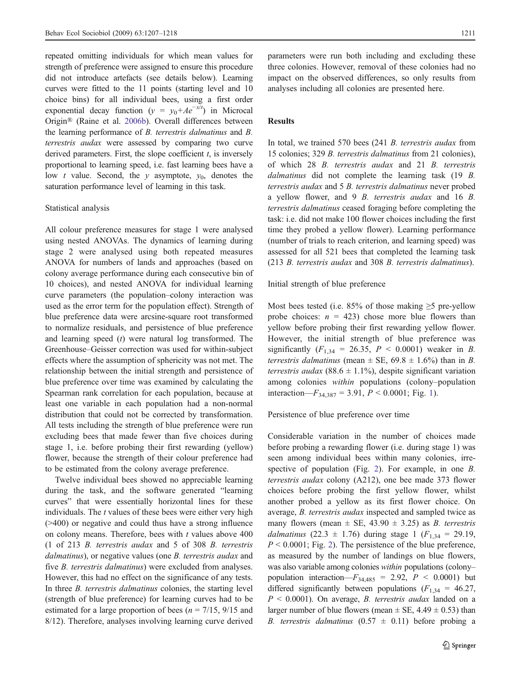repeated omitting individuals for which mean values for strength of preference were assigned to ensure this procedure did not introduce artefacts (see details below). Learning curves were fitted to the 11 points (starting level and 10 choice bins) for all individual bees, using a first order exponential decay function  $(y = y_0 + Ae^{-x/t})$  in Microcal Origin® (Raine et al. [2006b](#page-11-0)). Overall differences between the learning performance of B. terrestris dalmatinus and B. terrestris audax were assessed by comparing two curve derived parameters. First, the slope coefficient  $t$ , is inversely proportional to learning speed, i.e. fast learning bees have a low t value. Second, the y asymptote,  $y_0$ , denotes the saturation performance level of learning in this task.

#### Statistical analysis

All colour preference measures for stage 1 were analysed using nested ANOVAs. The dynamics of learning during stage 2 were analysed using both repeated measures ANOVA for numbers of lands and approaches (based on colony average performance during each consecutive bin of 10 choices), and nested ANOVA for individual learning curve parameters (the population–colony interaction was used as the error term for the population effect). Strength of blue preference data were arcsine-square root transformed to normalize residuals, and persistence of blue preference and learning speed  $(t)$  were natural log transformed. The Greenhouse–Geisser correction was used for within-subject effects where the assumption of sphericity was not met. The relationship between the initial strength and persistence of blue preference over time was examined by calculating the Spearman rank correlation for each population, because at least one variable in each population had a non-normal distribution that could not be corrected by transformation. All tests including the strength of blue preference were run excluding bees that made fewer than five choices during stage 1, i.e. before probing their first rewarding (yellow) flower, because the strength of their colour preference had to be estimated from the colony average preference.

Twelve individual bees showed no appreciable learning during the task, and the software generated "learning curves" that were essentially horizontal lines for these individuals. The  $t$  values of these bees were either very high (>400) or negative and could thus have a strong influence on colony means. Therefore, bees with  $t$  values above 400 (1 of 213 B. terrestris audax and 5 of 308 B. terrestris dalmatinus), or negative values (one B. terrestris audax and five B. terrestris dalmatinus) were excluded from analyses. However, this had no effect on the significance of any tests. In three B. terrestris dalmatinus colonies, the starting level (strength of blue preference) for learning curves had to be estimated for a large proportion of bees ( $n = 7/15$ , 9/15 and 8/12). Therefore, analyses involving learning curve derived

parameters were run both including and excluding these three colonies. However, removal of these colonies had no impact on the observed differences, so only results from analyses including all colonies are presented here.

## Results

In total, we trained 570 bees (241 B. terrestris audax from 15 colonies; 329 B. terrestris dalmatinus from 21 colonies), of which 28 B. terrestris audax and 21 B. terrestris dalmatinus did not complete the learning task (19 B. terrestris audax and 5 B. terrestris dalmatinus never probed a yellow flower, and 9 B. terrestris audax and 16 B. terrestris dalmatinus ceased foraging before completing the task: i.e. did not make 100 flower choices including the first time they probed a yellow flower). Learning performance (number of trials to reach criterion, and learning speed) was assessed for all 521 bees that completed the learning task (213 B. terrestris audax and 308 B. terrestris dalmatinus).

## Initial strength of blue preference

Most bees tested (i.e.  $85\%$  of those making  $\geq 5$  pre-yellow probe choices:  $n = 423$ ) chose more blue flowers than yellow before probing their first rewarding yellow flower. However, the initial strength of blue preference was significantly ( $F_{1,34} = 26.35$ ,  $P < 0.0001$ ) weaker in B. terrestris dalmatinus (mean  $\pm$  SE, 69.8  $\pm$  1.6%) than in B. terrestris audax (88.6  $\pm$  1.1%), despite significant variation among colonies within populations (colony–population interaction— $F_{34,387} = 3.91, P \le 0.0001$ ; Fig. [1\)](#page-5-0).

Persistence of blue preference over time

Considerable variation in the number of choices made before probing a rewarding flower (i.e. during stage 1) was seen among individual bees within many colonies, irrespective of population (Fig. [2\)](#page-6-0). For example, in one B. terrestris audax colony (A212), one bee made 373 flower choices before probing the first yellow flower, whilst another probed a yellow as its first flower choice. On average, B. terrestris audax inspected and sampled twice as many flowers (mean  $\pm$  SE, 43.90  $\pm$  3.25) as *B. terrestris* dalmatinus (22.3  $\pm$  1.76) during stage 1 ( $F_{1,34}$  = 29.19,  $P < 0.0001$ ; Fig. [2](#page-6-0)). The persistence of the blue preference, as measured by the number of landings on blue flowers, was also variable among colonies within populations (colony– population interaction— $F_{34,485}$  = 2.92,  $P < 0.0001$ ) but differed significantly between populations ( $F_{1,34} = 46.27$ ,  $P < 0.0001$ ). On average, *B. terrestris audax* landed on a larger number of blue flowers (mean  $\pm$  SE, 4.49  $\pm$  0.53) than B. terrestris dalmatinus  $(0.57 \pm 0.11)$  before probing a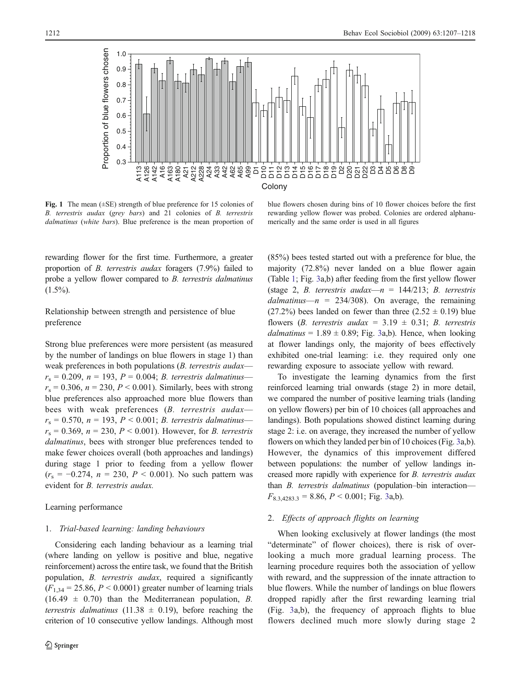<span id="page-5-0"></span>

Fig. 1 The mean  $(\pm SE)$  strength of blue preference for 15 colonies of B. terrestris audax (grey bars) and 21 colonies of B. terrestris dalmatinus (white bars). Blue preference is the mean proportion of

blue flowers chosen during bins of 10 flower choices before the first rewarding yellow flower was probed. Colonies are ordered alphanumerically and the same order is used in all figures

rewarding flower for the first time. Furthermore, a greater proportion of B. terrestris audax foragers (7.9%) failed to probe a yellow flower compared to B. terrestris dalmatinus  $(1.5\%)$ .

Relationship between strength and persistence of blue preference

Strong blue preferences were more persistent (as measured by the number of landings on blue flowers in stage 1) than weak preferences in both populations (B. terrestris audax  $r_s = 0.209$ ,  $n = 193$ ,  $P = 0.004$ ; *B. terrestris dalmatinus*  $r_s = 0.306$ ,  $n = 230$ ,  $P < 0.001$ ). Similarly, bees with strong blue preferences also approached more blue flowers than bees with weak preferences (B. terrestris audax $r_s = 0.570$ ,  $n = 193$ ,  $P < 0.001$ ; B. terrestris dalmatinus  $r_s = 0.369$ ,  $n = 230$ ,  $P < 0.001$ ). However, for *B. terrestris* dalmatinus, bees with stronger blue preferences tended to make fewer choices overall (both approaches and landings) during stage 1 prior to feeding from a yellow flower  $(r<sub>s</sub> = -0.274, n = 230, P < 0.001)$ . No such pattern was evident for B. terrestris audax.

Learning performance

#### 1. Trial-based learning: landing behaviours

Considering each landing behaviour as a learning trial (where landing on yellow is positive and blue, negative reinforcement) across the entire task, we found that the British population, B. terrestris audax, required a significantly  $(F_{1,34} = 25.86, P \le 0.0001)$  greater number of learning trials  $(16.49 \pm 0.70)$  than the Mediterranean population, B. terrestris dalmatinus (11.38  $\pm$  0.19), before reaching the criterion of 10 consecutive yellow landings. Although most (85%) bees tested started out with a preference for blue, the majority (72.8%) never landed on a blue flower again (Table [1;](#page-3-0) Fig. [3](#page-7-0)a,b) after feeding from the first yellow flower (stage 2, B. terrestris audax— $n = 144/213$ ; B. terrestris dalmatinus— $n = 234/308$ ). On average, the remaining  $(27.2\%)$  bees landed on fewer than three  $(2.52 \pm 0.19)$  blue flowers (*B. terrestris audax* =  $3.19 \pm 0.31$ ; *B. terrestris* dalmatinus =  $1.89 \pm 0.89$ ; Fig. [3a](#page-7-0),b). Hence, when looking at flower landings only, the majority of bees effectively exhibited one-trial learning: i.e. they required only one rewarding exposure to associate yellow with reward.

To investigate the learning dynamics from the first reinforced learning trial onwards (stage 2) in more detail, we compared the number of positive learning trials (landing on yellow flowers) per bin of 10 choices (all approaches and landings). Both populations showed distinct learning during stage 2: i.e. on average, they increased the number of yellow flowers on which they landed per bin of 10 choices (Fig. [3a](#page-7-0),b). However, the dynamics of this improvement differed between populations: the number of yellow landings increased more rapidly with experience for B. terrestris audax than *B. terrestris dalmatinus* (population–bin interaction- $F_{8,3,4283,3} = 8.86, P < 0.001$ ; Fig. [3a](#page-7-0),b).

## 2. Effects of approach flights on learning

When looking exclusively at flower landings (the most "determinate" of flower choices), there is risk of overlooking a much more gradual learning process. The learning procedure requires both the association of yellow with reward, and the suppression of the innate attraction to blue flowers. While the number of landings on blue flowers dropped rapidly after the first rewarding learning trial (Fig. [3](#page-7-0)a,b), the frequency of approach flights to blue flowers declined much more slowly during stage 2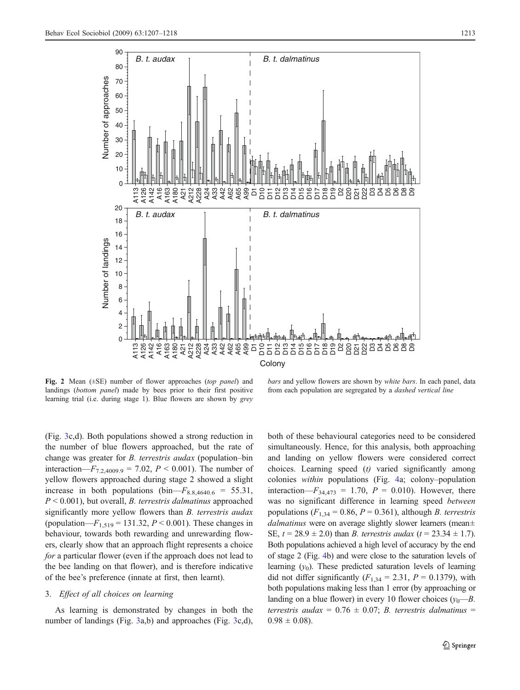<span id="page-6-0"></span>

Fig. 2 Mean  $(\pm SE)$  number of flower approaches (top panel) and landings (bottom panel) made by bees prior to their first positive learning trial (i.e. during stage 1). Blue flowers are shown by grey

bars and yellow flowers are shown by white bars. In each panel, data from each population are segregated by a dashed vertical line

(Fig. [3c](#page-7-0),d). Both populations showed a strong reduction in the number of blue flowers approached, but the rate of change was greater for *B. terrestris audax* (population-bin interaction— $F_{7,2,4009.9} = 7.02$ ,  $P < 0.001$ ). The number of yellow flowers approached during stage 2 showed a slight increase in both populations (bin— $F_{8.8,4640.6}$  = 55.31,  $P < 0.001$ ), but overall, *B. terrestris dalmatinus* approached significantly more yellow flowers than *B. terrestris audax* (population— $F_{1,519} = 131.32, P \le 0.001$ ). These changes in behaviour, towards both rewarding and unrewarding flowers, clearly show that an approach flight represents a choice for a particular flower (even if the approach does not lead to the bee landing on that flower), and is therefore indicative of the bee's preference (innate at first, then learnt).

# 3. Effect of all choices on learning

As learning is demonstrated by changes in both the number of landings (Fig. [3a](#page-7-0),b) and approaches (Fig. [3](#page-7-0)c,d), both of these behavioural categories need to be considered simultaneously. Hence, for this analysis, both approaching and landing on yellow flowers were considered correct choices. Learning speed (t) varied significantly among colonies within populations (Fig. [4a](#page-8-0); colony–population interaction— $F_{34,473} = 1.70$ ,  $P = 0.010$ ). However, there was no significant difference in learning speed between populations ( $F_{1,34} = 0.86$ ,  $P = 0.361$ ), although *B. terrestris* dalmatinus were on average slightly slower learners (mean± SE,  $t = 28.9 \pm 2.0$ ) than *B. terrestris audax* ( $t = 23.34 \pm 1.7$ ). Both populations achieved a high level of accuracy by the end of stage 2 (Fig. [4](#page-8-0)b) and were close to the saturation levels of learning  $(y_0)$ . These predicted saturation levels of learning did not differ significantly  $(F_{1,34} = 2.31, P = 0.1379)$ , with both populations making less than 1 error (by approaching or landing on a blue flower) in every 10 flower choices  $(y_0 - B$ . terrestris audax =  $0.76 \pm 0.07$ ; B. terrestris dalmatinus =  $0.98 \pm 0.08$ ).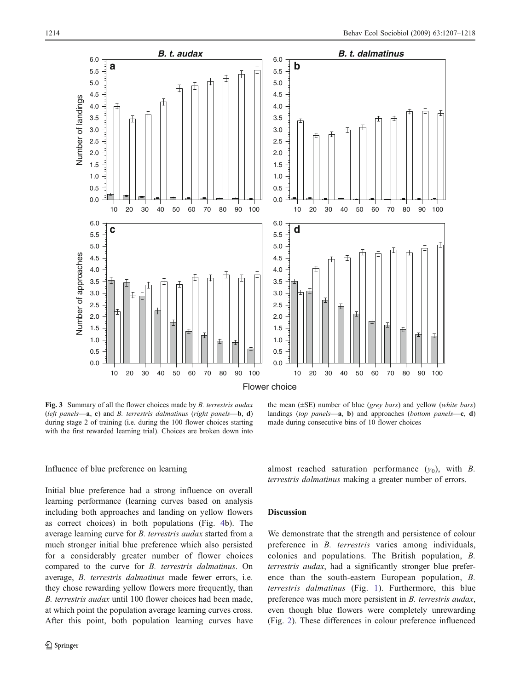<span id="page-7-0"></span>

Fig. 3 Summary of all the flower choices made by *B. terrestris audax* (left panels—a, c) and B. terrestris dalmatinus (right panels—b, d) during stage 2 of training (i.e. during the 100 flower choices starting with the first rewarded learning trial). Choices are broken down into

the mean  $(\pm SE)$  number of blue (grey bars) and yellow (white bars) landings (top panels—a, b) and approaches (bottom panels—c, d) made during consecutive bins of 10 flower choices

#### Influence of blue preference on learning

Initial blue preference had a strong influence on overall learning performance (learning curves based on analysis including both approaches and landing on yellow flowers as correct choices) in both populations (Fig. [4b](#page-8-0)). The average learning curve for B. terrestris audax started from a much stronger initial blue preference which also persisted for a considerably greater number of flower choices compared to the curve for B. terrestris dalmatinus. On average, B. terrestris dalmatinus made fewer errors, i.e. they chose rewarding yellow flowers more frequently, than B. terrestris audax until 100 flower choices had been made, at which point the population average learning curves cross. After this point, both population learning curves have

almost reached saturation performance  $(y_0)$ , with B. terrestris dalmatinus making a greater number of errors.

#### **Discussion**

We demonstrate that the strength and persistence of colour preference in B. terrestris varies among individuals, colonies and populations. The British population, B. terrestris audax, had a significantly stronger blue preference than the south-eastern European population, B. terrestris dalmatinus (Fig. [1\)](#page-5-0). Furthermore, this blue preference was much more persistent in B. terrestris audax, even though blue flowers were completely unrewarding (Fig. [2](#page-6-0)). These differences in colour preference influenced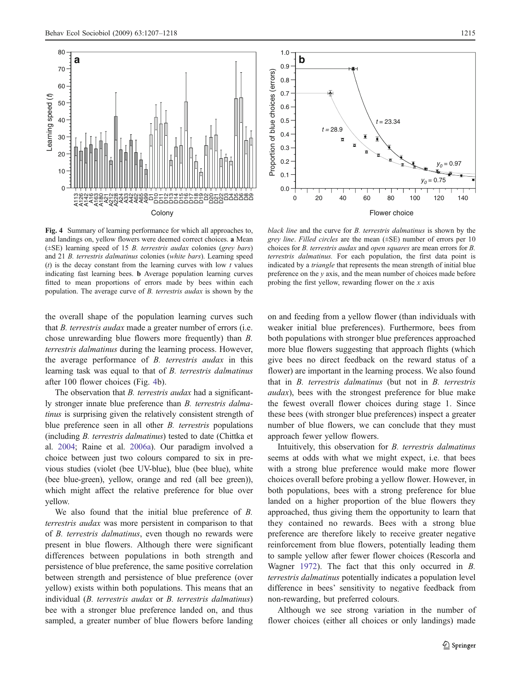<span id="page-8-0"></span>



Fig. 4 Summary of learning performance for which all approaches to, and landings on, yellow flowers were deemed correct choices. a Mean  $(\pm SE)$  learning speed of 15 B. terrestris audax colonies (grey bars) and 21 B. terrestris dalmatinus colonies (white bars). Learning speed ( $t$ ) is the decay constant from the learning curves with low  $t$  values indicating fast learning bees. b Average population learning curves fitted to mean proportions of errors made by bees within each population. The average curve of *B. terrestris audax* is shown by the

the overall shape of the population learning curves such that *B. terrestris audax* made a greater number of errors (i.e. chose unrewarding blue flowers more frequently) than B. terrestris dalmatinus during the learning process. However, the average performance of B. terrestris audax in this learning task was equal to that of B. terrestris dalmatinus after 100 flower choices (Fig. 4b).

The observation that *B. terrestris audax* had a significantly stronger innate blue preference than B. terrestris dalmatinus is surprising given the relatively consistent strength of blue preference seen in all other B. terrestris populations (including B. terrestris dalmatinus) tested to date (Chittka et al. [2004;](#page-10-0) Raine et al. [2006a\)](#page-11-0). Our paradigm involved a choice between just two colours compared to six in previous studies (violet (bee UV-blue), blue (bee blue), white (bee blue-green), yellow, orange and red (all bee green)), which might affect the relative preference for blue over yellow.

We also found that the initial blue preference of B. terrestris audax was more persistent in comparison to that of B. terrestris dalmatinus, even though no rewards were present in blue flowers. Although there were significant differences between populations in both strength and persistence of blue preference, the same positive correlation between strength and persistence of blue preference (over yellow) exists within both populations. This means that an individual (B. terrestris audax or B. terrestris dalmatinus) bee with a stronger blue preference landed on, and thus sampled, a greater number of blue flowers before landing

black line and the curve for B. terrestris dalmatinus is shown by the grey line. Filled circles are the mean  $(\pm SE)$  number of errors per 10 choices for B. terrestris audax and open squares are mean errors for B. terrestris dalmatinus. For each population, the first data point is indicated by a triangle that represents the mean strength of initial blue preference on the  $y$  axis, and the mean number of choices made before probing the first yellow, rewarding flower on the x axis

on and feeding from a yellow flower (than individuals with weaker initial blue preferences). Furthermore, bees from both populations with stronger blue preferences approached more blue flowers suggesting that approach flights (which give bees no direct feedback on the reward status of a flower) are important in the learning process. We also found that in B. terrestris dalmatinus (but not in B. terrestris audax), bees with the strongest preference for blue make the fewest overall flower choices during stage 1. Since these bees (with stronger blue preferences) inspect a greater number of blue flowers, we can conclude that they must approach fewer yellow flowers.

Intuitively, this observation for B. terrestris dalmatinus seems at odds with what we might expect, i.e. that bees with a strong blue preference would make more flower choices overall before probing a yellow flower. However, in both populations, bees with a strong preference for blue landed on a higher proportion of the blue flowers they approached, thus giving them the opportunity to learn that they contained no rewards. Bees with a strong blue preference are therefore likely to receive greater negative reinforcement from blue flowers, potentially leading them to sample yellow after fewer flower choices (Rescorla and Wagner [1972](#page-11-0)). The fact that this only occurred in B. terrestris dalmatinus potentially indicates a population level difference in bees' sensitivity to negative feedback from non-rewarding, but preferred colours.

Although we see strong variation in the number of flower choices (either all choices or only landings) made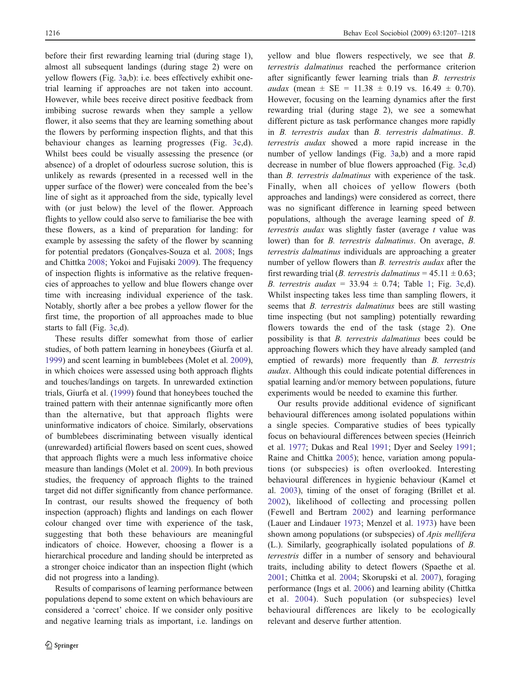before their first rewarding learning trial (during stage 1), almost all subsequent landings (during stage 2) were on yellow flowers (Fig. [3a](#page-7-0),b): i.e. bees effectively exhibit onetrial learning if approaches are not taken into account. However, while bees receive direct positive feedback from imbibing sucrose rewards when they sample a yellow flower, it also seems that they are learning something about the flowers by performing inspection flights, and that this behaviour changes as learning progresses (Fig. [3c](#page-7-0),d). Whilst bees could be visually assessing the presence (or absence) of a droplet of odourless sucrose solution, this is unlikely as rewards (presented in a recessed well in the upper surface of the flower) were concealed from the bee's line of sight as it approached from the side, typically level with (or just below) the level of the flower. Approach flights to yellow could also serve to familiarise the bee with these flowers, as a kind of preparation for landing: for example by assessing the safety of the flower by scanning for potential predators (Gonçalves-Souza et al. [2008](#page-10-0); Ings and Chittka [2008](#page-10-0); Yokoi and Fujisaki [2009\)](#page-11-0). The frequency of inspection flights is informative as the relative frequencies of approaches to yellow and blue flowers change over time with increasing individual experience of the task. Notably, shortly after a bee probes a yellow flower for the first time, the proportion of all approaches made to blue starts to fall (Fig. [3](#page-7-0)c,d).

These results differ somewhat from those of earlier studies, of both pattern learning in honeybees (Giurfa et al. [1999\)](#page-10-0) and scent learning in bumblebees (Molet et al. [2009](#page-10-0)), in which choices were assessed using both approach flights and touches/landings on targets. In unrewarded extinction trials, Giurfa et al. ([1999\)](#page-10-0) found that honeybees touched the trained pattern with their antennae significantly more often than the alternative, but that approach flights were uninformative indicators of choice. Similarly, observations of bumblebees discriminating between visually identical (unrewarded) artificial flowers based on scent cues, showed that approach flights were a much less informative choice measure than landings (Molet et al. [2009\)](#page-10-0). In both previous studies, the frequency of approach flights to the trained target did not differ significantly from chance performance. In contrast, our results showed the frequency of both inspection (approach) flights and landings on each flower colour changed over time with experience of the task, suggesting that both these behaviours are meaningful indicators of choice. However, choosing a flower is a hierarchical procedure and landing should be interpreted as a stronger choice indicator than an inspection flight (which did not progress into a landing).

Results of comparisons of learning performance between populations depend to some extent on which behaviours are considered a 'correct' choice. If we consider only positive and negative learning trials as important, i.e. landings on yellow and blue flowers respectively, we see that B. terrestris dalmatinus reached the performance criterion after significantly fewer learning trials than B. terrestris audax (mean  $\pm$  SE = 11.38  $\pm$  0.19 vs. 16.49  $\pm$  0.70). However, focusing on the learning dynamics after the first rewarding trial (during stage 2), we see a somewhat different picture as task performance changes more rapidly in B. terrestris audax than B. terrestris dalmatinus. B. terrestris audax showed a more rapid increase in the number of yellow landings (Fig. [3](#page-7-0)a,b) and a more rapid decrease in number of blue flowers approached (Fig. [3c](#page-7-0),d) than B. terrestris dalmatinus with experience of the task. Finally, when all choices of yellow flowers (both approaches and landings) were considered as correct, there was no significant difference in learning speed between populations, although the average learning speed of B. terrestris audax was slightly faster (average  $t$  value was lower) than for *B. terrestris dalmatinus*. On average, *B.* terrestris dalmatinus individuals are approaching a greater number of yellow flowers than B. terrestris audax after the first rewarding trial (*B. terrestris dalmatinus* =  $45.11 \pm 0.63$ ; B. terrestris audax =  $33.94 \pm 0.74$  $33.94 \pm 0.74$ ; Table [1](#page-3-0); Fig. 3c,d). Whilst inspecting takes less time than sampling flowers, it seems that *B. terrestris dalmatinus* bees are still wasting time inspecting (but not sampling) potentially rewarding flowers towards the end of the task (stage 2). One possibility is that B. terrestris dalmatinus bees could be approaching flowers which they have already sampled (and emptied of rewards) more frequently than B. terrestris audax. Although this could indicate potential differences in spatial learning and/or memory between populations, future experiments would be needed to examine this further.

Our results provide additional evidence of significant behavioural differences among isolated populations within a single species. Comparative studies of bees typically focus on behavioural differences between species (Heinrich et al. [1977](#page-10-0); Dukas and Real [1991](#page-10-0); Dyer and Seeley [1991](#page-10-0); Raine and Chittka [2005](#page-11-0)); hence, variation among populations (or subspecies) is often overlooked. Interesting behavioural differences in hygienic behaviour (Kamel et al. [2003](#page-10-0)), timing of the onset of foraging (Brillet et al. [2002](#page-10-0)), likelihood of collecting and processing pollen (Fewell and Bertram [2002](#page-10-0)) and learning performance (Lauer and Lindauer [1973;](#page-10-0) Menzel et al. [1973](#page-10-0)) have been shown among populations (or subspecies) of *Apis mellifera* (L.). Similarly, geographically isolated populations of B. terrestris differ in a number of sensory and behavioural traits, including ability to detect flowers (Spaethe et al. [2001;](#page-11-0) Chittka et al. [2004;](#page-10-0) Skorupski et al. [2007](#page-11-0)), foraging performance (Ings et al. [2006\)](#page-10-0) and learning ability (Chittka et al. [2004\)](#page-10-0). Such population (or subspecies) level behavioural differences are likely to be ecologically relevant and deserve further attention.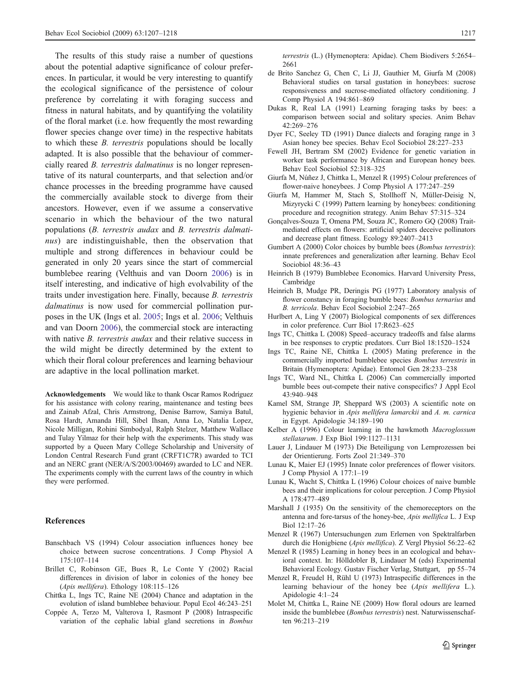<span id="page-10-0"></span>The results of this study raise a number of questions about the potential adaptive significance of colour preferences. In particular, it would be very interesting to quantify the ecological significance of the persistence of colour preference by correlating it with foraging success and fitness in natural habitats, and by quantifying the volatility of the floral market (i.e. how frequently the most rewarding flower species change over time) in the respective habitats to which these B. terrestris populations should be locally adapted. It is also possible that the behaviour of commercially reared B. terrestris dalmatinus is no longer representative of its natural counterparts, and that selection and/or chance processes in the breeding programme have caused the commercially available stock to diverge from their ancestors. However, even if we assume a conservative scenario in which the behaviour of the two natural populations (B. terrestris audax and B. terrestris dalmatinus) are indistinguishable, then the observation that multiple and strong differences in behaviour could be generated in only 20 years since the start of commercial bumblebee rearing (Velthuis and van Doorn [2006](#page-11-0)) is in itself interesting, and indicative of high evolvability of the traits under investigation here. Finally, because B. terrestris dalmatinus is now used for commercial pollination purposes in the UK (Ings et al. 2005; Ings et al. 2006; Velthuis and van Doorn [2006](#page-11-0)), the commercial stock are interacting with native *B. terrestris audax* and their relative success in the wild might be directly determined by the extent to which their floral colour preferences and learning behaviour are adaptive in the local pollination market.

Acknowledgements We would like to thank Oscar Ramos Rodríguez for his assistance with colony rearing, maintenance and testing bees and Zainab Afzal, Chris Armstrong, Denise Barrow, Samiya Batul, Rosa Hardt, Amanda Hill, Sibel Ihsan, Anna Lo, Natalia Lopez, Nicole Milligan, Rohini Simbodyal, Ralph Stelzer, Matthew Wallace and Tulay Yilmaz for their help with the experiments. This study was supported by a Queen Mary College Scholarship and University of London Central Research Fund grant (CRFT1C7R) awarded to TCI and an NERC grant (NER/A/S/2003/00469) awarded to LC and NER. The experiments comply with the current laws of the country in which they were performed.

#### References

- Banschbach VS (1994) Colour association influences honey bee choice between sucrose concentrations. J Comp Physiol A 175:107–114
- Brillet C, Robinson GE, Bues R, Le Conte Y (2002) Racial differences in division of labor in colonies of the honey bee (Apis mellifera). Ethology 108:115–126
- Chittka L, Ings TC, Raine NE (2004) Chance and adaptation in the evolution of island bumblebee behaviour. Popul Ecol 46:243–251
- Coppée A, Terzo M, Valterova I, Rasmont P (2008) Intraspecific variation of the cephalic labial gland secretions in Bombus

terrestris (L.) (Hymenoptera: Apidae). Chem Biodivers 5:2654– 2661

- de Brito Sanchez G, Chen C, Li JJ, Gauthier M, Giurfa M (2008) Behavioral studies on tarsal gustation in honeybees: sucrose responsiveness and sucrose-mediated olfactory conditioning. J Comp Physiol A 194:861–869
- Dukas R, Real LA (1991) Learning foraging tasks by bees: a comparison between social and solitary species. Anim Behav 42:269–276
- Dyer FC, Seeley TD (1991) Dance dialects and foraging range in 3 Asian honey bee species. Behav Ecol Sociobiol 28:227–233
- Fewell JH, Bertram SM (2002) Evidence for genetic variation in worker task performance by African and European honey bees. Behav Ecol Sociobiol 52:318–325
- Giurfa M, Núñez J, Chittka L, Menzel R (1995) Colour preferences of flower-naive honeybees. J Comp Physiol A 177:247–259
- Giurfa M, Hammer M, Stach S, Stollhoff N, Müller-Deisig N, Mizyrycki C (1999) Pattern learning by honeybees: conditioning procedure and recognition strategy. Anim Behav 57:315–324
- Gonçalves-Souza T, Omena PM, Souza JC, Romero GQ (2008) Traitmediated effects on flowers: artificial spiders deceive pollinators and decrease plant fitness. Ecology 89:2407–2413
- Gumbert A (2000) Color choices by bumble bees (Bombus terrestris): innate preferences and generalization after learning. Behav Ecol Sociobiol 48:36–43
- Heinrich B (1979) Bumblebee Economics. Harvard University Press, Cambridge
- Heinrich B, Mudge PR, Deringis PG (1977) Laboratory analysis of flower constancy in foraging bumble bees: Bombus ternarius and B. terricola. Behav Ecol Sociobiol 2:247–265
- Hurlbert A, Ling Y (2007) Biological components of sex differences in color preference. Curr Biol 17:R623–625
- Ings TC, Chittka L (2008) Speed–accuracy tradeoffs and false alarms in bee responses to cryptic predators. Curr Biol 18:1520–1524
- Ings TC, Raine NE, Chittka L (2005) Mating preference in the commercially imported bumblebee species Bombus terrestris in Britain (Hymenoptera: Apidae). Entomol Gen 28:233–238
- Ings TC, Ward NL, Chittka L (2006) Can commercially imported bumble bees out-compete their native conspecifics? J Appl Ecol 43:940–948
- Kamel SM, Strange JP, Sheppard WS (2003) A scientific note on hygienic behavior in Apis mellifera lamarckii and A. m. carnica in Egypt. Apidologie 34:189–190
- Kelber A (1996) Colour learning in the hawkmoth Macroglossum stellatarum. J Exp Biol 199:1127–1131
- Lauer J, Lindauer M (1973) Die Beteiligung von Lernprozessen bei der Orientierung. Forts Zool 21:349–370
- Lunau K, Maier EJ (1995) Innate color preferences of flower visitors. J Comp Physiol A 177:1–19
- Lunau K, Wacht S, Chittka L (1996) Colour choices of naive bumble bees and their implications for colour perception. J Comp Physiol A 178:477–489
- Marshall J (1935) On the sensitivity of the chemoreceptors on the antenna and fore-tarsus of the honey-bee, Apis mellifica L. J Exp Biol 12:17–26
- Menzel R (1967) Untersuchungen zum Erlernen von Spektralfarben durch die Honigbiene (Apis mellifica). Z Vergl Physiol 56:22–62
- Menzel R (1985) Learning in honey bees in an ecological and behavioral context. In: Hölldobler B, Lindauer M (eds) Experimental Behavioral Ecology. Gustav Fischer Verlag, Stuttgart, pp 55–74
- Menzel R, Freudel H, Rühl U (1973) Intraspecific differences in the learning behaviour of the honey bee (Apis mellifera L.). Apidologie 4:1–24
- Molet M, Chittka L, Raine NE (2009) How floral odours are learned inside the bumblebee (Bombus terrestris) nest. Naturwissenschaften 96:213–219